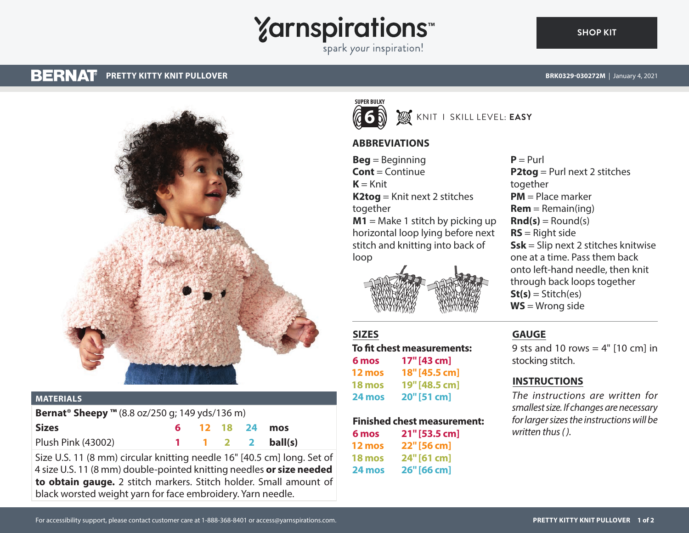# **Yarnspirations**

spark your inspiration!

#### **BERNAT PRETTY KITTY KNIT PULLOVER BRK0329-030272M** | January 4, 2021

**[SHOP KIT](https://www.yarnspirations.com/BRK0329-030272M.html#utm_source=pdf-yarnspirations&utm_medium=referral)**



#### **MATERIALS**

| <b>Bernat<sup>®</sup> Sheepy</b> ™ (8.8 oz/250 g; 149 yds/136 m) |  |  |  |  |                           |
|------------------------------------------------------------------|--|--|--|--|---------------------------|
| <b>Sizes</b>                                                     |  |  |  |  | 6 12 18 24 mos            |
| <b>Plush Pink (43002)</b>                                        |  |  |  |  | $1 \t1 \t2 \t2 \tball(s)$ |

Size U.S. 11 (8 mm) circular knitting needle 16" [40.5 cm] long. Set of 4 size U.S. 11 (8 mm) double-pointed knitting needles **or size needed to obtain gauge.** 2 stitch markers. Stitch holder. Small amount of black worsted weight yarn for face embroidery. Yarn needle.



### KNIT I SKILL LEVEL: **EASY**

#### **ABBREVIATIONS**

**Beg** = Beginning **Cont** = Continue  $K = Knit$ **K2tog** = Knit next 2 stitches together **M1** = Make 1 stitch by picking up horizontal loop lying before next stitch and knitting into back of loop



#### **SIZES**

**To fit chest measurements: 6 mos 17"[43 cm] 12 mos 18"[45.5 cm] 18 mos 19"[48.5 cm] 24 mos 20"[51 cm]**

#### **Finished chest measurement:**

| 6 mos  | 21" [53.5 cm] |
|--------|---------------|
| 12 mos | 22" [56 cm]   |
| 18 mos | 24" [61 cm]   |
| 24 mos | 26" [66 cm]   |

 $P = Purl$ **P2tog** = Purl next 2 stitches together **PM** = Place marker  $Rem = Remain(ina)$  $\text{Rnd}(s) =$  Round(s) **RS** = Right side **Ssk** = Slip next 2 stitches knitwise one at a time. Pass them back onto left-hand needle, then knit through back loops together  $St(s) = Stitch(es)$ **WS** = Wrong side

#### **GAUGE**

9 sts and 10 rows  $=$  4" [10 cm] in stocking stitch.

#### **INSTRUCTIONS**

*The instructions are written for smallest size. If changes are necessary for larger sizes the instructions will be written thus ( ).*